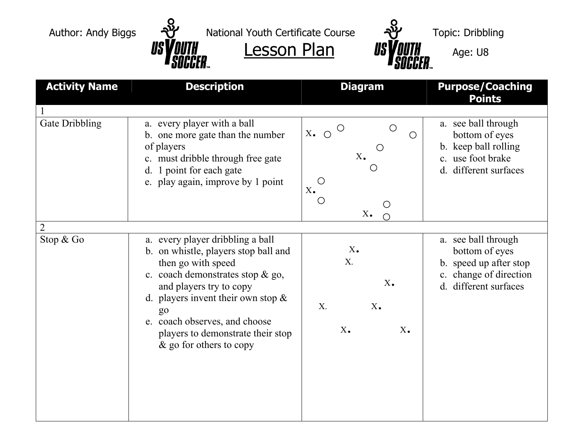



| <b>Activity Name</b>        | <b>Description</b>                                                                                                                                                                                                                                                                                               | <b>Diagram</b>                                                                                                                                 | <b>Purpose/Coaching</b><br><b>Points</b>                                                                           |
|-----------------------------|------------------------------------------------------------------------------------------------------------------------------------------------------------------------------------------------------------------------------------------------------------------------------------------------------------------|------------------------------------------------------------------------------------------------------------------------------------------------|--------------------------------------------------------------------------------------------------------------------|
| Gate Dribbling              | a. every player with a ball<br>b. one more gate than the number<br>of players<br>c. must dribble through free gate<br>d. 1 point for each gate<br>e. play again, improve by 1 point                                                                                                                              | $\bigcirc$<br>$\bigcirc$<br>$X_{\bullet}$ $\circ$<br>$\bigcirc$<br>$X_{\bullet}$<br>$\bigcirc$<br>$X_{\bullet}$<br>$\bigcirc$<br>$X_{\bullet}$ | a. see ball through<br>bottom of eyes<br>b. keep ball rolling<br>c. use foot brake<br>different surfaces<br>d.     |
| $\overline{2}$<br>Stop & Go | a. every player dribbling a ball<br>b. on whistle, players stop ball and<br>then go with speed<br>c. coach demonstrates stop & go,<br>and players try to copy<br>d. players invent their own stop $\&$<br>$g_0$<br>e. coach observes, and choose<br>players to demonstrate their stop<br>& go for others to copy | $X_{\bullet}$<br>$X_{\cdot}$<br>$X_{\bullet}$<br>$X_{\cdot}$<br>$X_{\bullet}$<br>$X_{\bullet}$<br>$X_{\bullet}$                                | a. see ball through<br>bottom of eyes<br>b. speed up after stop<br>c. change of direction<br>d. different surfaces |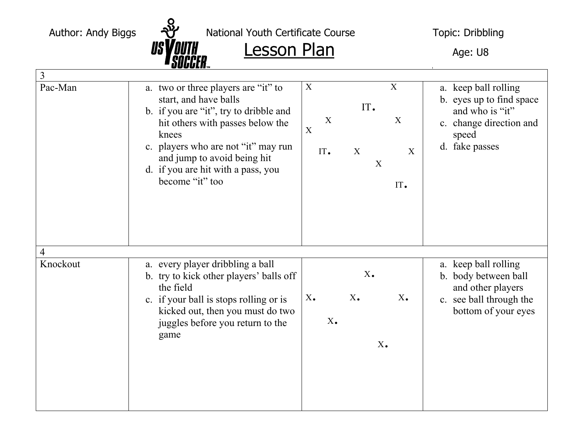Author: Andy Biggs  $\overline{Q}$  National Youth Certificate Course Topic: Dribbling

 $\frac{1}{s}$   $\frac{1}{s}$   $\frac{1}{s}$   $\frac{1}{s}$   $\frac{1}{s}$   $\frac{1}{s}$   $\frac{1}{s}$   $\frac{1}{s}$   $\frac{1}{s}$   $\frac{1}{s}$   $\frac{1}{s}$   $\frac{1}{s}$   $\frac{1}{s}$   $\frac{1}{s}$   $\frac{1}{s}$   $\frac{1}{s}$   $\frac{1}{s}$   $\frac{1}{s}$   $\frac{1}{s}$   $\frac{1}{s}$   $\frac{1}{s}$   $\frac{1}{s}$ 

|          | UUUULII…                                                                                                                                                                                                                                                                           |                                                                                                    |                                                                                                                           |
|----------|------------------------------------------------------------------------------------------------------------------------------------------------------------------------------------------------------------------------------------------------------------------------------------|----------------------------------------------------------------------------------------------------|---------------------------------------------------------------------------------------------------------------------------|
| 3        |                                                                                                                                                                                                                                                                                    |                                                                                                    |                                                                                                                           |
| Pac-Man  | a. two or three players are "it" to<br>start, and have balls<br>b. if you are "it", try to dribble and<br>hit others with passes below the<br>knees<br>c. players who are not "it" may run<br>and jump to avoid being hit<br>d. if you are hit with a pass, you<br>become "it" too | X<br>X<br>IT.<br>$\overline{X}$<br>X<br>$\mathbf X$<br>$\mathbf X$<br>IT.<br>X<br>X<br>IT.         | a. keep ball rolling<br>b. eyes up to find space<br>and who is "it"<br>c. change direction and<br>speed<br>d. fake passes |
| 4        |                                                                                                                                                                                                                                                                                    |                                                                                                    |                                                                                                                           |
| Knockout | a. every player dribbling a ball<br>b. try to kick other players' balls off<br>the field<br>c. if your ball is stops rolling or is<br>kicked out, then you must do two<br>juggles before you return to the<br>game                                                                 | $X_{\bullet}$<br>$X_{\bullet}$<br>$X_{\bullet}$<br>$X_{\bullet}$<br>$X_{\bullet}$<br>$X_{\bullet}$ | a. keep ball rolling<br>b. body between ball<br>and other players<br>c. see ball through the<br>bottom of your eyes       |